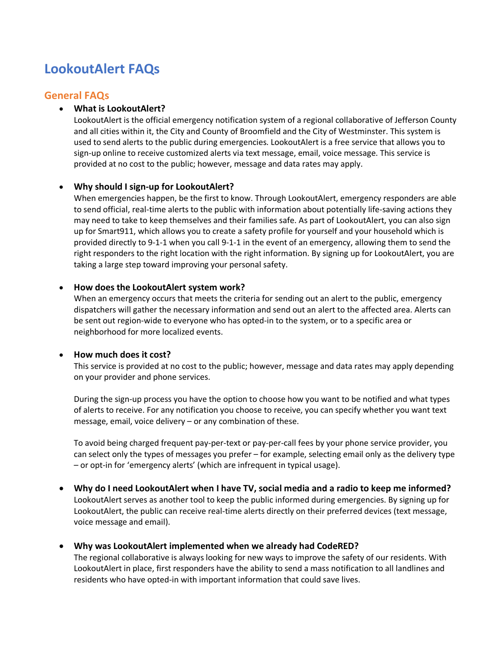# **LookoutAlert FAQs**

## **General FAQs**

#### • **What is LookoutAlert?**

LookoutAlert is the official emergency notification system of a regional collaborative of Jefferson County and all cities within it, the City and County of Broomfield and the City of Westminster. This system is used to send alerts to the public during emergencies. LookoutAlert is a free service that allows you to sign-up online to receive customized alerts via text message, email, voice message. This service is provided at no cost to the public; however, message and data rates may apply.

#### • **Why should I sign-up for LookoutAlert?**

When emergencies happen, be the first to know. Through LookoutAlert, emergency responders are able to send official, real-time alerts to the public with information about potentially life-saving actions they may need to take to keep themselves and their families safe. As part of LookoutAlert, you can also sign up for Smart911, which allows you to create a safety profile for yourself and your household which is provided directly to 9-1-1 when you call 9-1-1 in the event of an emergency, allowing them to send the right responders to the right location with the right information. By signing up for LookoutAlert, you are taking a large step toward improving your personal safety.

#### • **How does the LookoutAlert system work?**

When an emergency occurs that meets the criteria for sending out an alert to the public, emergency dispatchers will gather the necessary information and send out an alert to the affected area. Alerts can be sent out region-wide to everyone who has opted-in to the system, or to a specific area or neighborhood for more localized events.

#### • **How much does it cost?**

This service is provided at no cost to the public; however, message and data rates may apply depending on your provider and phone services.

During the sign-up process you have the option to choose how you want to be notified and what types of alerts to receive. For any notification you choose to receive, you can specify whether you want text message, email, voice delivery – or any combination of these.

To avoid being charged frequent pay-per-text or pay-per-call fees by your phone service provider, you can select only the types of messages you prefer – for example, selecting email only as the delivery type – or opt-in for 'emergency alerts' (which are infrequent in typical usage).

• **Why do I need LookoutAlert when I have TV, social media and a radio to keep me informed?** LookoutAlert serves as another tool to keep the public informed during emergencies. By signing up for LookoutAlert, the public can receive real-time alerts directly on their preferred devices (text message, voice message and email).

#### • **Why was LookoutAlert implemented when we already had CodeRED?**

The regional collaborative is always looking for new ways to improve the safety of our residents. With LookoutAlert in place, first responders have the ability to send a mass notification to all landlines and residents who have opted-in with important information that could save lives.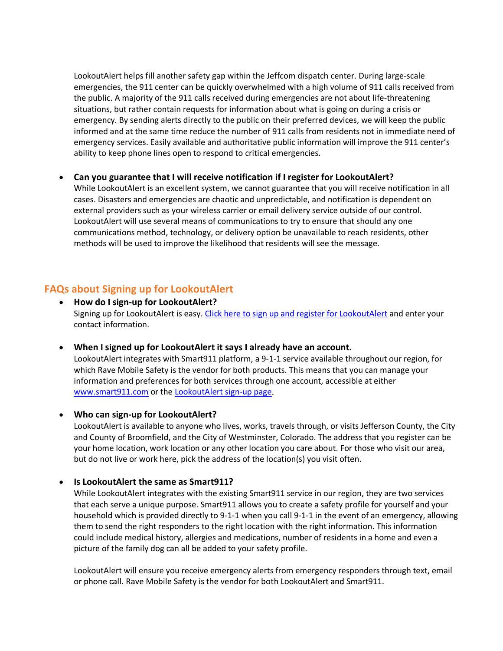LookoutAlert helps fill another safety gap within the Jeffcom dispatch center. During large-scale emergencies, the 911 center can be quickly overwhelmed with a high volume of 911 calls received from the public. A majority of the 911 calls received during emergencies are not about life-threatening situations, but rather contain requests for information about what is going on during a crisis or emergency. By sending alerts directly to the public on their preferred devices, we will keep the public informed and at the same time reduce the number of 911 calls from residents not in immediate need of emergency services. Easily available and authoritative public information will improve the 911 center's ability to keep phone lines open to respond to critical emergencies.

#### • **Can you guarantee that I will receive notification if I register for LookoutAlert?**

While LookoutAlert is an excellent system, we cannot guarantee that you will receive notification in all cases. Disasters and emergencies are chaotic and unpredictable, and notification is dependent on external providers such as your wireless carrier or email delivery service outside of our control. LookoutAlert will use several means of communications to try to ensure that should any one communications method, technology, or delivery option be unavailable to reach residents, other methods will be used to improve the likelihood that residents will see the message.

# **FAQs about Signing up for LookoutAlert**

- **How do I sign-up for LookoutAlert?** Signing up for LookoutAlert is easy[. Click here to sign up and register for LookoutAlert](https://www.smart911.com/smart911/ref/reg.action?pa=LookoutAlert) and enter your contact information.
- **When I signed up for LookoutAlert it says I already have an account.**

LookoutAlert integrates with Smart911 platform, a 9-1-1 service available throughout our region, for which Rave Mobile Safety is the vendor for both products. This means that you can manage your information and preferences for both services through one account, accessible at either [www.smart911.com](http://www.smart911.com/) or the [LookoutAlert sign-up page.](https://www.smart911.com/smart911/ref/reg.action?pa=LookoutAlert)

#### • **Who can sign-up for LookoutAlert?**

LookoutAlert is available to anyone who lives, works, travels through, or visits Jefferson County, the City and County of Broomfield, and the City of Westminster, Colorado. The address that you register can be your home location, work location or any other location you care about. For those who visit our area, but do not live or work here, pick the address of the location(s) you visit often.

#### • **Is LookoutAlert the same as Smart911?**

While LookoutAlert integrates with the existing Smart911 service in our region, they are two services that each serve a unique purpose. Smart911 allows you to create a safety profile for yourself and your household which is provided directly to 9-1-1 when you call 9-1-1 in the event of an emergency, allowing them to send the right responders to the right location with the right information. This information could include medical history, allergies and medications, number of residents in a home and even a picture of the family dog can all be added to your safety profile.

LookoutAlert will ensure you receive emergency alerts from emergency responders through text, email or phone call. Rave Mobile Safety is the vendor for both LookoutAlert and Smart911.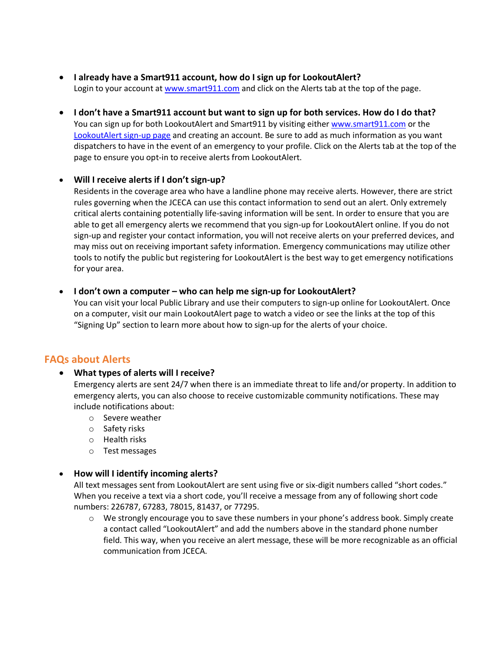- **I already have a Smart911 account, how do I sign up for LookoutAlert?** Login to your account at [www.smart911.com](https://www.smart911.com/) and click on the Alerts tab at the top of the page.
- **I don't have a Smart911 account but want to sign up for both services. How do I do that?** You can sign up for both LookoutAlert and Smart911 by visiting eithe[r www.smart911.com](https://www.smart911.com/) or the [LookoutAlert sign-up page](https://www.smart911.com/smart911/ref/reg.action?pa=LookoutAlert) and creating an account. Be sure to add as much information as you want dispatchers to have in the event of an emergency to your profile. Click on the Alerts tab at the top of the page to ensure you opt-in to receive alerts from LookoutAlert.

#### • **Will I receive alerts if I don't sign-up?**

Residents in the coverage area who have a landline phone may receive alerts. However, there are strict rules governing when the JCECA can use this contact information to send out an alert. Only extremely critical alerts containing potentially life-saving information will be sent. In order to ensure that you are able to get all emergency alerts we recommend that you sign-up for LookoutAlert online. If you do not sign-up and register your contact information, you will not receive alerts on your preferred devices, and may miss out on receiving important safety information. Emergency communications may utilize other tools to notify the public but registering for LookoutAlert is the best way to get emergency notifications for your area.

#### • **I don't own a computer – who can help me sign-up for LookoutAlert?**

You can visit your local Public Library and use their computers to sign-up online for LookoutAlert. Once on a computer, visit our main LookoutAlert page to watch a video or see the links at the top of this "Signing Up" section to learn more about how to sign-up for the alerts of your choice.

# **FAQs about Alerts**

#### • **What types of alerts will I receive?**

Emergency alerts are sent 24/7 when there is an immediate threat to life and/or property. In addition to emergency alerts, you can also choose to receive customizable community notifications. These may include notifications about:

- o Severe weather
- o Safety risks
- o Health risks
- o Test messages

#### • **How will I identify incoming alerts?**

All text messages sent from LookoutAlert are sent using five or six-digit numbers called "short codes." When you receive a text via a short code, you'll receive a message from any of following short code numbers: 226787, 67283, 78015, 81437, or 77295.

 $\circ$  We strongly encourage you to save these numbers in your phone's address book. Simply create a contact called "LookoutAlert" and add the numbers above in the standard phone number field. This way, when you receive an alert message, these will be more recognizable as an official communication from JCECA.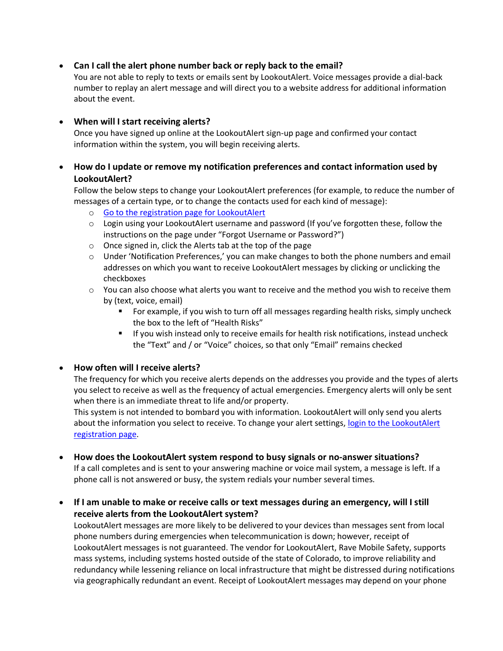#### • **Can I call the alert phone number back or reply back to the email?**

You are not able to reply to texts or emails sent by LookoutAlert. Voice messages provide a dial-back number to replay an alert message and will direct you to a website address for additional information about the event.

#### • **When will I start receiving alerts?**

Once you have signed up online at the LookoutAlert sign-up page and confirmed your contact information within the system, you will begin receiving alerts.

### • **How do I update or remove my notification preferences and contact information used by LookoutAlert?**

Follow the below steps to change your LookoutAlert preferences (for example, to reduce the number of messages of a certain type, or to change the contacts used for each kind of message):

- o [Go to the registration page for LookoutAlert](https://www.smart911.com/smart911/ref/reg.action?pa=LookoutAlert)
- $\circ$  Login using your LookoutAlert username and password (If you've forgotten these, follow the instructions on the page under "Forgot Username or Password?")
- o Once signed in, click the Alerts tab at the top of the page
- o Under 'Notification Preferences,' you can make changes to both the phone numbers and email addresses on which you want to receive LookoutAlert messages by clicking or unclicking the checkboxes
- $\circ$  You can also choose what alerts you want to receive and the method you wish to receive them by (text, voice, email)
	- For example, if you wish to turn off all messages regarding health risks, simply uncheck the box to the left of "Health Risks"
	- If you wish instead only to receive emails for health risk notifications, instead uncheck the "Text" and / or "Voice" choices, so that only "Email" remains checked

#### • **How often will I receive alerts?**

The frequency for which you receive alerts depends on the addresses you provide and the types of alerts you select to receive as well as the frequency of actual emergencies. Emergency alerts will only be sent when there is an immediate threat to life and/or property.

This system is not intended to bombard you with information. LookoutAlert will only send you alerts about the information you select to receive. To change your alert settings[, login to the LookoutAlert](https://www.smart911.com/smart911/ref/reg.action?pa=LookoutAlert)  [registration page.](https://www.smart911.com/smart911/ref/reg.action?pa=LookoutAlert)

• **How does the LookoutAlert system respond to busy signals or no-answer situations?**

If a call completes and is sent to your answering machine or voice mail system, a message is left. If a phone call is not answered or busy, the system redials your number several times.

• **If I am unable to make or receive calls or text messages during an emergency, will I still receive alerts from the LookoutAlert system?**

LookoutAlert messages are more likely to be delivered to your devices than messages sent from local phone numbers during emergencies when telecommunication is down; however, receipt of LookoutAlert messages is not guaranteed. The vendor for LookoutAlert, Rave Mobile Safety, supports mass systems, including systems hosted outside of the state of Colorado, to improve reliability and redundancy while lessening reliance on local infrastructure that might be distressed during notifications via geographically redundant an event. Receipt of LookoutAlert messages may depend on your phone